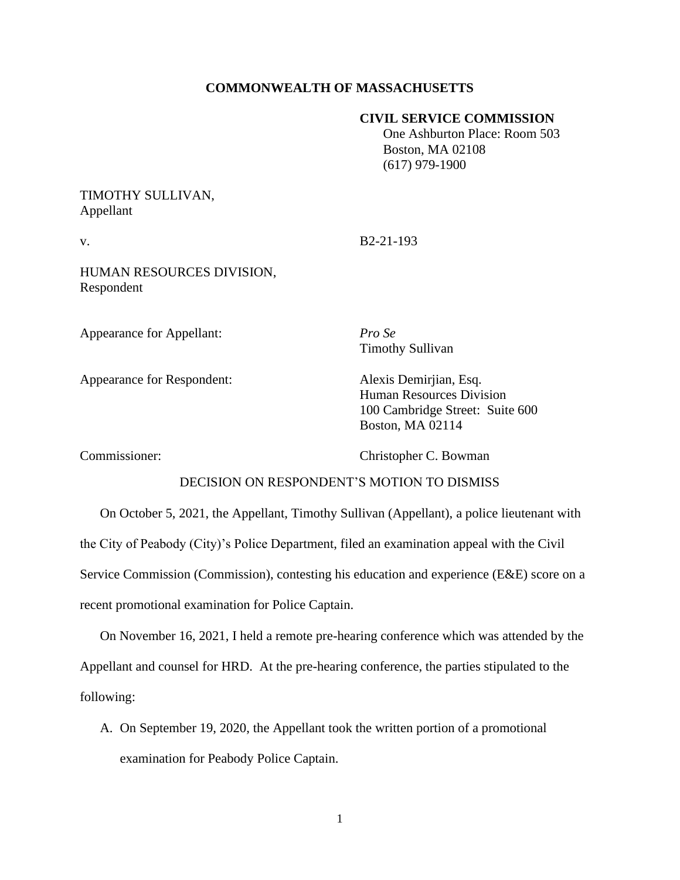### **COMMONWEALTH OF MASSACHUSETTS**

### **CIVIL SERVICE COMMISSION**

 One Ashburton Place: Room 503 Boston, MA 02108 (617) 979-1900

## TIMOTHY SULLIVAN, Appellant

v. B2-21-193

HUMAN RESOURCES DIVISION, Respondent

Appearance for Appellant: *Pro Se*

Timothy Sullivan

Appearance for Respondent: Alexis Demirjian, Esq.

Human Resources Division 100 Cambridge Street: Suite 600 Boston, MA 02114

Commissioner: Christopher C. Bowman

### DECISION ON RESPONDENT'S MOTION TO DISMISS

On October 5, 2021, the Appellant, Timothy Sullivan (Appellant), a police lieutenant with the City of Peabody (City)'s Police Department, filed an examination appeal with the Civil Service Commission (Commission), contesting his education and experience (E&E) score on a recent promotional examination for Police Captain.

On November 16, 2021, I held a remote pre-hearing conference which was attended by the Appellant and counsel for HRD. At the pre-hearing conference, the parties stipulated to the following:

A. On September 19, 2020, the Appellant took the written portion of a promotional examination for Peabody Police Captain.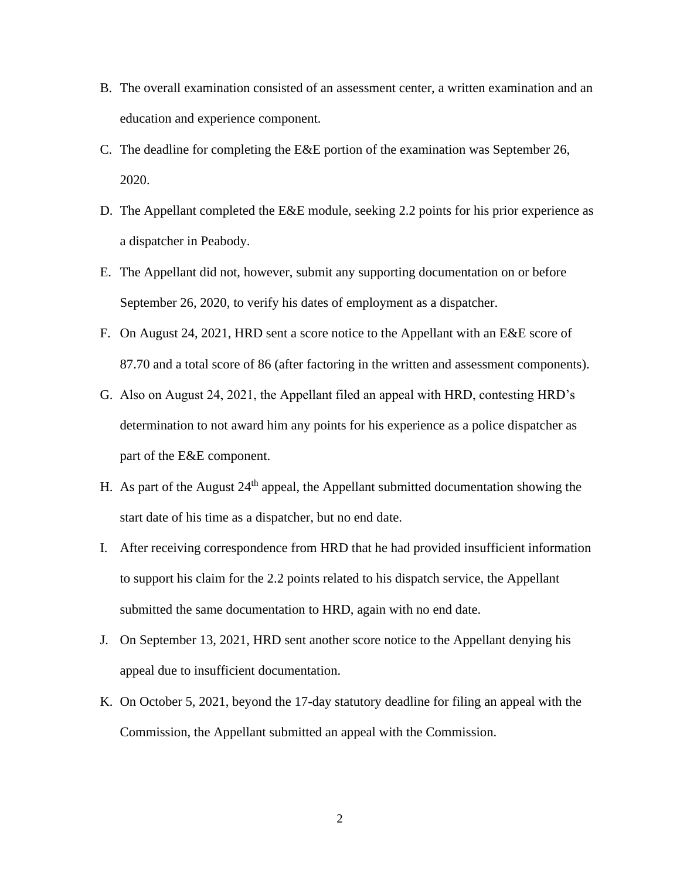- B. The overall examination consisted of an assessment center, a written examination and an education and experience component.
- C. The deadline for completing the E&E portion of the examination was September 26, 2020.
- D. The Appellant completed the E&E module, seeking 2.2 points for his prior experience as a dispatcher in Peabody.
- E. The Appellant did not, however, submit any supporting documentation on or before September 26, 2020, to verify his dates of employment as a dispatcher.
- F. On August 24, 2021, HRD sent a score notice to the Appellant with an E&E score of 87.70 and a total score of 86 (after factoring in the written and assessment components).
- G. Also on August 24, 2021, the Appellant filed an appeal with HRD, contesting HRD's determination to not award him any points for his experience as a police dispatcher as part of the E&E component.
- H. As part of the August  $24<sup>th</sup>$  appeal, the Appellant submitted documentation showing the start date of his time as a dispatcher, but no end date.
- I. After receiving correspondence from HRD that he had provided insufficient information to support his claim for the 2.2 points related to his dispatch service, the Appellant submitted the same documentation to HRD, again with no end date.
- J. On September 13, 2021, HRD sent another score notice to the Appellant denying his appeal due to insufficient documentation.
- K. On October 5, 2021, beyond the 17-day statutory deadline for filing an appeal with the Commission, the Appellant submitted an appeal with the Commission.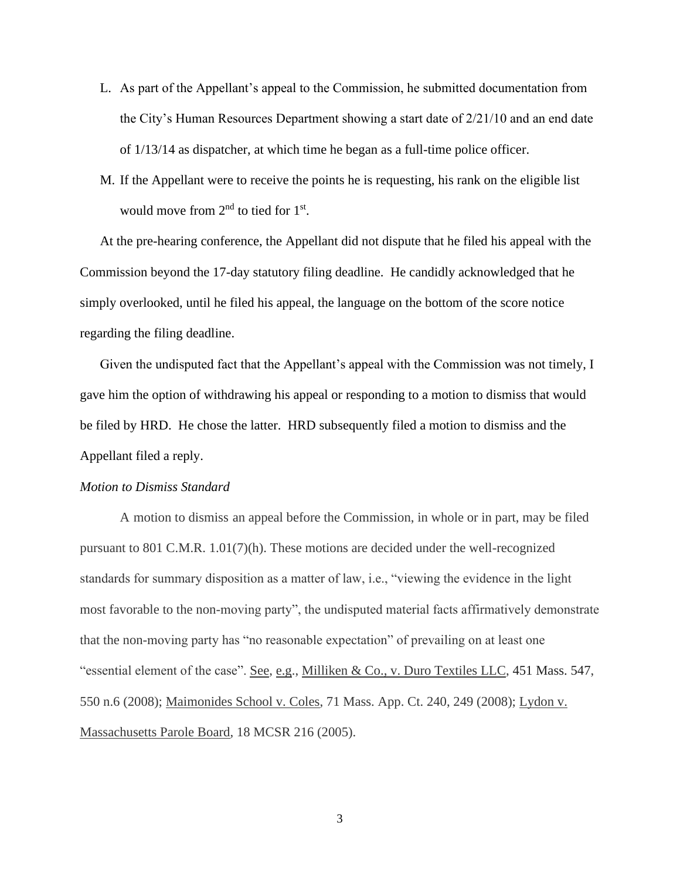- L. As part of the Appellant's appeal to the Commission, he submitted documentation from the City's Human Resources Department showing a start date of 2/21/10 and an end date of 1/13/14 as dispatcher, at which time he began as a full-time police officer.
- M. If the Appellant were to receive the points he is requesting, his rank on the eligible list would move from  $2<sup>nd</sup>$  to tied for  $1<sup>st</sup>$ .

At the pre-hearing conference, the Appellant did not dispute that he filed his appeal with the Commission beyond the 17-day statutory filing deadline. He candidly acknowledged that he simply overlooked, until he filed his appeal, the language on the bottom of the score notice regarding the filing deadline.

Given the undisputed fact that the Appellant's appeal with the Commission was not timely, I gave him the option of withdrawing his appeal or responding to a motion to dismiss that would be filed by HRD. He chose the latter. HRD subsequently filed a motion to dismiss and the Appellant filed a reply.

#### *Motion to Dismiss Standard*

A motion to dismiss an appeal before the Commission, in whole or in part, may be filed pursuant to 801 C.M.R. 1.01(7)(h). These motions are decided under the well-recognized standards for summary disposition as a matter of law, i.e., "viewing the evidence in the light most favorable to the non-moving party", the undisputed material facts affirmatively demonstrate that the non-moving party has "no reasonable expectation" of prevailing on at least one "essential element of the case". See, e.g., Milliken & Co., v. Duro Textiles LLC, [451 Mass. 547,](https://research.socialaw.com/document.php?id=sjcapp:451_mass_547) 550 n.6 (2008); Maimonides School v. Coles, 71 Mass. App. Ct. 240, 249 (2008); Lydon v. Massachusetts Parole Board, 18 MCSR 216 (2005).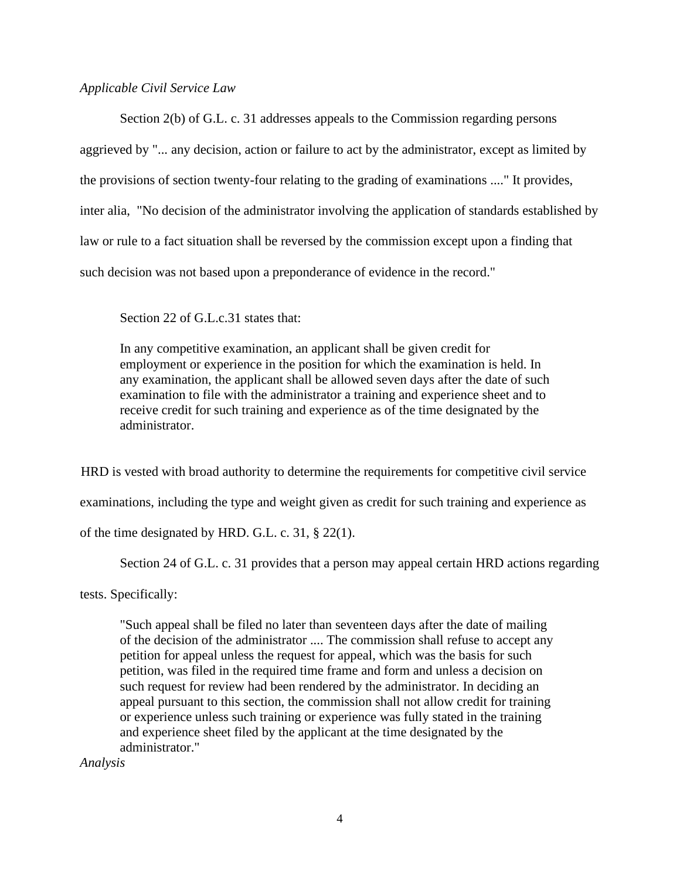### *Applicable Civil Service Law*

Section 2(b) of G.L. c. 31 addresses appeals to the Commission regarding persons aggrieved by "... any decision, action or failure to act by the administrator, except as limited by the provisions of section twenty-four relating to the grading of examinations ...." It provides, inter alia, "No decision of the administrator involving the application of standards established by law or rule to a fact situation shall be reversed by the commission except upon a finding that such decision was not based upon a preponderance of evidence in the record."

Section 22 of G.L.c.31 states that:

In any competitive examination, an applicant shall be given credit for employment or experience in the position for which the examination is held. In any examination, the applicant shall be allowed seven days after the date of such examination to file with the administrator a training and experience sheet and to receive credit for such training and experience as of the time designated by the administrator.

HRD is vested with broad authority to determine the requirements for competitive civil service examinations, including the type and weight given as credit for such training and experience as of the time designated by HRD. G.L. c. 31, § 22(1).

Section 24 of G.L. c. 31 provides that a person may appeal certain HRD actions regarding

tests. Specifically:

"Such appeal shall be filed no later than seventeen days after the date of mailing of the decision of the administrator .... The commission shall refuse to accept any petition for appeal unless the request for appeal, which was the basis for such petition, was filed in the required time frame and form and unless a decision on such request for review had been rendered by the administrator. In deciding an appeal pursuant to this section, the commission shall not allow credit for training or experience unless such training or experience was fully stated in the training and experience sheet filed by the applicant at the time designated by the administrator."

*Analysis*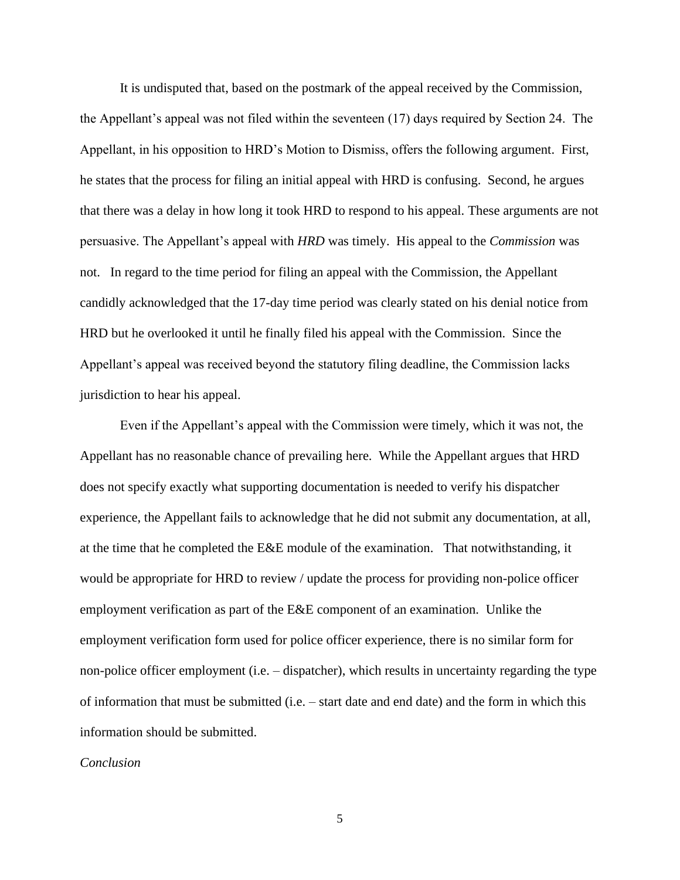It is undisputed that, based on the postmark of the appeal received by the Commission, the Appellant's appeal was not filed within the seventeen (17) days required by Section 24. The Appellant, in his opposition to HRD's Motion to Dismiss, offers the following argument. First, he states that the process for filing an initial appeal with HRD is confusing. Second, he argues that there was a delay in how long it took HRD to respond to his appeal. These arguments are not persuasive. The Appellant's appeal with *HRD* was timely. His appeal to the *Commission* was not. In regard to the time period for filing an appeal with the Commission, the Appellant candidly acknowledged that the 17-day time period was clearly stated on his denial notice from HRD but he overlooked it until he finally filed his appeal with the Commission. Since the Appellant's appeal was received beyond the statutory filing deadline, the Commission lacks jurisdiction to hear his appeal.

Even if the Appellant's appeal with the Commission were timely, which it was not, the Appellant has no reasonable chance of prevailing here. While the Appellant argues that HRD does not specify exactly what supporting documentation is needed to verify his dispatcher experience, the Appellant fails to acknowledge that he did not submit any documentation, at all, at the time that he completed the E&E module of the examination. That notwithstanding, it would be appropriate for HRD to review / update the process for providing non-police officer employment verification as part of the E&E component of an examination. Unlike the employment verification form used for police officer experience, there is no similar form for non-police officer employment (i.e. – dispatcher), which results in uncertainty regarding the type of information that must be submitted (i.e. – start date and end date) and the form in which this information should be submitted.

### *Conclusion*

5